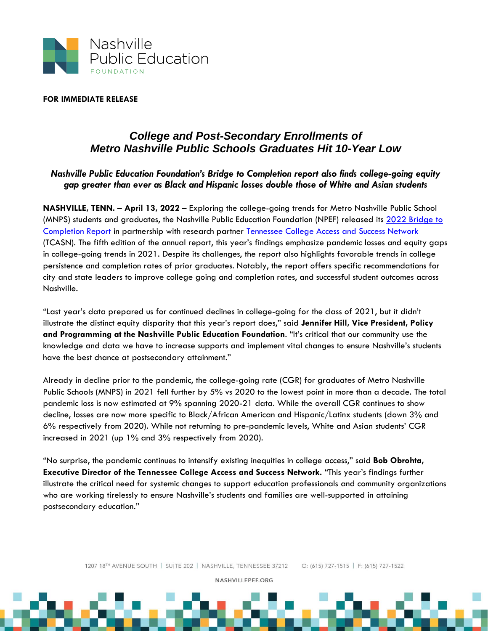

## **FOR IMMEDIATE RELEASE**

## *College and Post-Secondary Enrollments of Metro Nashville Public Schools Graduates Hit 10-Year Low*

## *Nashville Public Education Foundation's Bridge to Completion report also finds college-going equity gap greater than ever as Black and Hispanic losses double those of White and Asian students*

**NASHVILLE, TENN. – April 13, 2022 –** Exploring the college-going trends for Metro Nashville Public School (MNPS) students and graduates, the Nashville Public Education Foundation (NPEF) released its 2022 Bridge to [Completion Report](https://nashvillepef.org/wp-content/uploads/2022/04/Bridge-To-Completion-2022.pdf) in partnership with research partner [Tennessee College Access and Success Network](https://www.tncollegeaccess.org/) (TCASN). The fifth edition of the annual report, this year's findings emphasize pandemic losses and equity gaps in college-going trends in 2021. Despite its challenges, the report also highlights favorable trends in college persistence and completion rates of prior graduates. Notably, the report offers specific recommendations for city and state leaders to improve college going and completion rates, and successful student outcomes across Nashville.

"Last year's data prepared us for continued declines in college-going for the class of 2021, but it didn't illustrate the distinct equity disparity that this year's report does," said **Jennifer Hill, Vice President, Policy and Programming at the Nashville Public Education Foundation**. "It's critical that our community use the knowledge and data we have to increase supports and implement vital changes to ensure Nashville's students have the best chance at postsecondary attainment."

Already in decline prior to the pandemic, the college-going rate (CGR) for graduates of Metro Nashville Public Schools (MNPS) in 2021 fell further by 5% vs 2020 to the lowest point in more than a decade. The total pandemic loss is now estimated at 9% spanning 2020-21 data. While the overall CGR continues to show decline, losses are now more specific to Black/African American and Hispanic/Latinx students (down 3% and 6% respectively from 2020). While not returning to pre-pandemic levels, White and Asian students' CGR increased in 2021 (up 1% and 3% respectively from 2020).

"No surprise, the pandemic continues to intensify existing inequities in college access," said **Bob Obrohta, Executive Director of the Tennessee College Access and Success Network.** "This year's findings further illustrate the critical need for systemic changes to support education professionals and community organizations who are working tirelessly to ensure Nashville's students and families are well-supported in attaining postsecondary education."